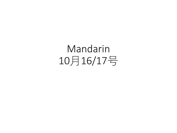Mandarin 10月16/17号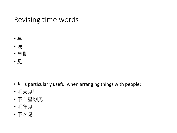## Revising time words

- 早
- 晚
- 星期
- 见

- 见 is particularly useful when arranging things with people:
- 明天见!
- 下个星期见
- 明年见
- 下次见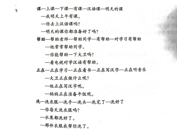| 课—上课—下课—有课—汉语课—明天的课          |
|------------------------------|
| —我明天上午有课。                    |
| 一你去上汉语课吗?                    |
| —明天的课你都准备好了吗?                |
| 帮助—帮助老师—帮助同学—有帮助—对学习有帮助      |
| —他常常帮助同学。                    |
| —你能帮助一下大卫吗?<br>eleti kaj tiu |
| —看电视对学汉语有帮助。                 |
| 正在-正在学习-正在看书-正在写汉字--正在听音乐    |
| —大卫正在做什么呢?                   |
| —他正在写汉字呢。                    |
| —妈妈正在准备午饭呢。                  |
| 洗—洗衣服—洗手—洗头—洗完了—洗好了          |
| 一你每天洗衣服吗?                    |
| 一水果都洗好了。                     |
| 一那件衣服我帮你洗了。                  |

 $\mathbb{R}^+$ 

b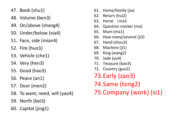- 47. Book (shu1)
- 48. Volume (ben3)
- 49. On/above (shang4)
- 50. Under/below (xia4)
- 51. Face, side (mian4)
- 52. Fire (huo3)
- 53. Vehicle (che1)
- 54. Very (hen3)
- 55. Good (hao3)
- 56. Peace (an1)
- 57. Door (men2)
- 58. To want, need, will (yao4)
- 59. North (bei3)
- 60. Capital (jing1)
- 61. Home/family (jia)
- 62. Return (hui2)
- 63. Horse (ma3
- 64. Question marker (ma)
- 65. Mum (ma1)
- 66. How many/several (ji3)
- 67. Hand (shou3)
- 68. Machine (ji1)
- 69. King (wang2)
- 70. Jade (yu4)
- 71. Treasure (bao3)
- 72. Country (guo2)
- 73.Early (zao3)
- 74.Same (tong2)
- 75.Company (work) (si1)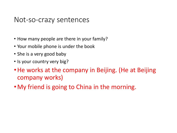## Not-so-crazy sentences

- How many people are there in your family?
- Your mobile phone is under the book
- She is a very good baby
- Is your country very big?
- He works at the company in Beijing. (He at Beijing company works)
- •My friend is going to China in the morning.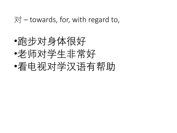$\overline{X}$  – towards, for, with regard to,

•跑步对身体很好 •老师对学生非常好 •看电视对学汉语有帮助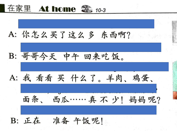

A: 你怎么买了这么多 东西啊?

B: 哥哥今天 中午 回来吃饭。

A: 我 看看 买 什么了。羊肉、鸡蛋、

面条、西瓜……真不少!妈妈呢?

B: 正在 准备 午饭呢!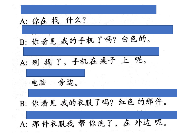A: 你在 找 什么? B: 你看见我的手机了吗? 白色的。 A: 别找了,手机在桌子上呢, 电脑 旁边。 B: 你看见我的衣服了吗? 红色的那件。 A: 那件衣服我 帮 你洗了, 在 外边 呢。